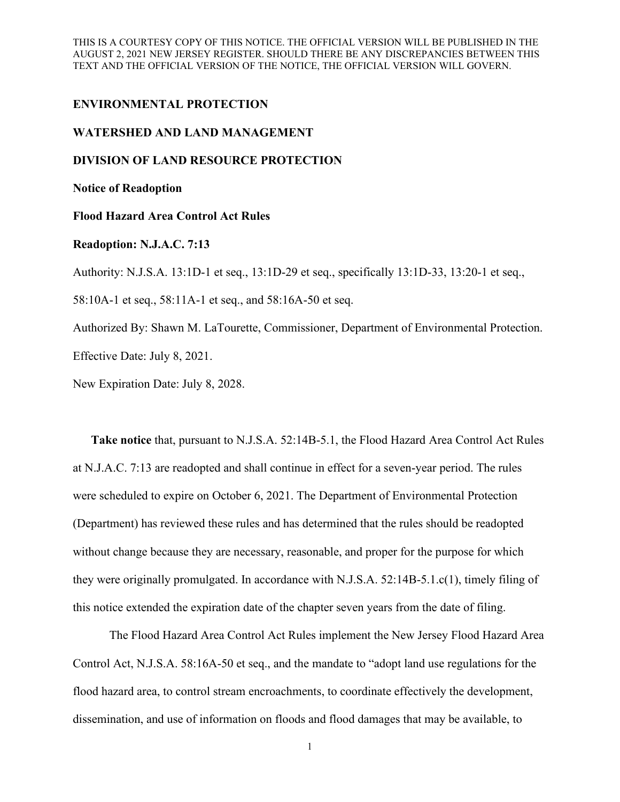THIS IS A COURTESY COPY OF THIS NOTICE. THE OFFICIAL VERSION WILL BE PUBLISHED IN THE AUGUST 2, 2021 NEW JERSEY REGISTER. SHOULD THERE BE ANY DISCREPANCIES BETWEEN THIS TEXT AND THE OFFICIAL VERSION OF THE NOTICE, THE OFFICIAL VERSION WILL GOVERN.

### **ENVIRONMENTAL PROTECTION**

# **WATERSHED AND LAND MANAGEMENT**

#### **DIVISION OF LAND RESOURCE PROTECTION**

**Notice of Readoption**

# **Flood Hazard Area Control Act Rules**

# **Readoption: N.J.A.C. 7:13**

Authority: N.J.S.A. 13:1D-1 et seq., 13:1D-29 et seq., specifically 13:1D-33, 13:20-1 et seq.,

58:10A-1 et seq., 58:11A-1 et seq., and 58:16A-50 et seq.

Authorized By: Shawn M. LaTourette, Commissioner, Department of Environmental Protection.

Effective Date: July 8, 2021.

New Expiration Date: July 8, 2028.

**Take notice** that, pursuant to N.J.S.A. 52:14B-5.1, the Flood Hazard Area Control Act Rules at N.J.A.C. 7:13 are readopted and shall continue in effect for a seven-year period. The rules were scheduled to expire on October 6, 2021. The Department of Environmental Protection (Department) has reviewed these rules and has determined that the rules should be readopted without change because they are necessary, reasonable, and proper for the purpose for which they were originally promulgated. In accordance with N.J.S.A. 52:14B-5.1.c(1), timely filing of this notice extended the expiration date of the chapter seven years from the date of filing.

The Flood Hazard Area Control Act Rules implement the New Jersey Flood Hazard Area Control Act, N.J.S.A. 58:16A-50 et seq., and the mandate to "adopt land use regulations for the flood hazard area, to control stream encroachments, to coordinate effectively the development, dissemination, and use of information on floods and flood damages that may be available, to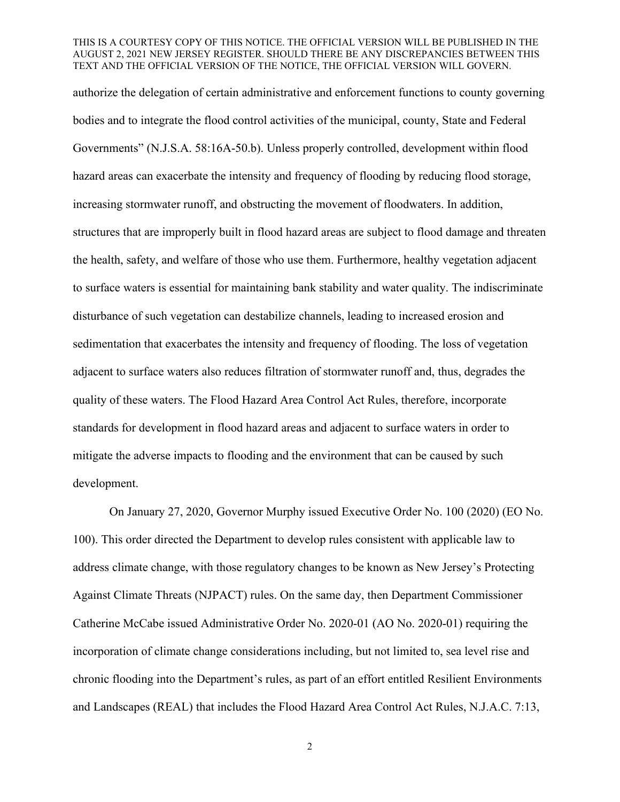#### THIS IS A COURTESY COPY OF THIS NOTICE. THE OFFICIAL VERSION WILL BE PUBLISHED IN THE AUGUST 2, 2021 NEW JERSEY REGISTER. SHOULD THERE BE ANY DISCREPANCIES BETWEEN THIS TEXT AND THE OFFICIAL VERSION OF THE NOTICE, THE OFFICIAL VERSION WILL GOVERN.

authorize the delegation of certain administrative and enforcement functions to county governing bodies and to integrate the flood control activities of the municipal, county, State and Federal Governments" (N.J.S.A. 58:16A-50.b). Unless properly controlled, development within flood hazard areas can exacerbate the intensity and frequency of flooding by reducing flood storage, increasing stormwater runoff, and obstructing the movement of floodwaters. In addition, structures that are improperly built in flood hazard areas are subject to flood damage and threaten the health, safety, and welfare of those who use them. Furthermore, healthy vegetation adjacent to surface waters is essential for maintaining bank stability and water quality. The indiscriminate disturbance of such vegetation can destabilize channels, leading to increased erosion and sedimentation that exacerbates the intensity and frequency of flooding. The loss of vegetation adjacent to surface waters also reduces filtration of stormwater runoff and, thus, degrades the quality of these waters. The Flood Hazard Area Control Act Rules, therefore, incorporate standards for development in flood hazard areas and adjacent to surface waters in order to mitigate the adverse impacts to flooding and the environment that can be caused by such development.

On January 27, 2020, Governor Murphy issued Executive Order No. 100 (2020) (EO No. 100). This order directed the Department to develop rules consistent with applicable law to address climate change, with those regulatory changes to be known as New Jersey's Protecting Against Climate Threats (NJPACT) rules. On the same day, then Department Commissioner Catherine McCabe issued Administrative Order No. 2020-01 (AO No. 2020-01) requiring the incorporation of climate change considerations including, but not limited to, sea level rise and chronic flooding into the Department's rules, as part of an effort entitled Resilient Environments and Landscapes (REAL) that includes the Flood Hazard Area Control Act Rules, N.J.A.C. 7:13,

2